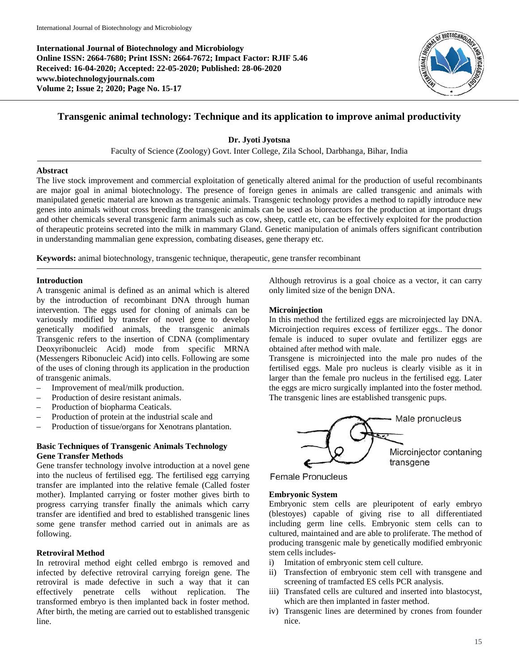**International Journal of Biotechnology and Microbiology Online ISSN: 2664-7680; Print ISSN: 2664-7672; Impact Factor: RJIF 5.46 Received: 16-04-2020; Accepted: 22-05-2020; Published: 28-06-2020 www.biotechnologyjournals.com Volume 2; Issue 2; 2020; Page No. 15-17** 



# **Transgenic animal technology: Technique and its application to improve animal productivity**

**Dr. Jyoti Jyotsna** 

Faculty of Science (Zoology) Govt. Inter College, Zila School, Darbhanga, Bihar, India

#### **Abstract**

The live stock improvement and commercial exploitation of genetically altered animal for the production of useful recombinants are major goal in animal biotechnology. The presence of foreign genes in animals are called transgenic and animals with manipulated genetic material are known as transgenic animals. Transgenic technology provides a method to rapidly introduce new genes into animals without cross breeding the transgenic animals can be used as bioreactors for the production at important drugs and other chemicals several transgenic farm animals such as cow, sheep, cattle etc, can be effectively exploited for the production of therapeutic proteins secreted into the milk in mammary Gland. Genetic manipulation of animals offers significant contribution in understanding mammalian gene expression, combating diseases, gene therapy etc.

**Keywords:** animal biotechnology, transgenic technique, therapeutic, gene transfer recombinant

## **Introduction**

A transgenic animal is defined as an animal which is altered by the introduction of recombinant DNA through human intervention. The eggs used for cloning of animals can be variously modified by transfer of novel gene to develop genetically modified animals, the transgenic animals Transgenic refers to the insertion of CDNA (complimentary Deoxyribonucleic Acid) mode from specific MRNA (Messengers Ribonucleic Acid) into cells. Following are some of the uses of cloning through its application in the production of transgenic animals.

- Improvement of meal/milk production.
- Production of desire resistant animals.
- Production of biopharma Ceaticals.
- Production of protein at the industrial scale and
- Production of tissue/organs for Xenotrans plantation.

# **Basic Techniques of Transgenic Animals Technology Gene Transfer Methods**

Gene transfer technology involve introduction at a novel gene into the nucleus of fertilised egg. The fertilised egg carrying transfer are implanted into the relative female (Called foster mother). Implanted carrying or foster mother gives birth to progress carrying transfer finally the animals which carry transfer are identified and bred to established transgenic lines some gene transfer method carried out in animals are as following.

# **Retroviral Method**

In retroviral method eight celled embrgo is removed and infected by defective retroviral carrying foreign gene. The retroviral is made defective in such a way that it can effectively penetrate cells without replication. The transformed embryo is then implanted back in foster method. After birth, the meting are carried out to established transgenic line.

Although retrovirus is a goal choice as a vector, it can carry only limited size of the benign DNA.

## **Microinjection**

In this method the fertilized eggs are microinjected lay DNA. Microinjection requires excess of fertilizer eggs.. The donor female is induced to super ovulate and fertilizer eggs are obtained after method with male.

Transgene is microinjected into the male pro nudes of the fertilised eggs. Male pro nucleus is clearly visible as it in larger than the female pro nucleus in the fertilised egg. Later the eggs are micro surgically implanted into the foster method. The transgenic lines are established transgenic pups.



Female Pronucleus

#### **Embryonic System**

Embryonic stem cells are pleuripotent of early embryo (blestoyes) capable of giving rise to all differentiated including germ line cells. Embryonic stem cells can to cultured, maintained and are able to proliferate. The method of producing transgenic male by genetically modified embryonic stem cells includes-

- i) Imitation of embryonic stem cell culture.
- ii) Transfection of embryonic stem cell with transgene and screening of tramfacted ES cells PCR analysis.
- iii) Transfated cells are cultured and inserted into blastocyst, which are then implanted in faster method.
- iv) Transgenic lines are determined by crones from founder nice.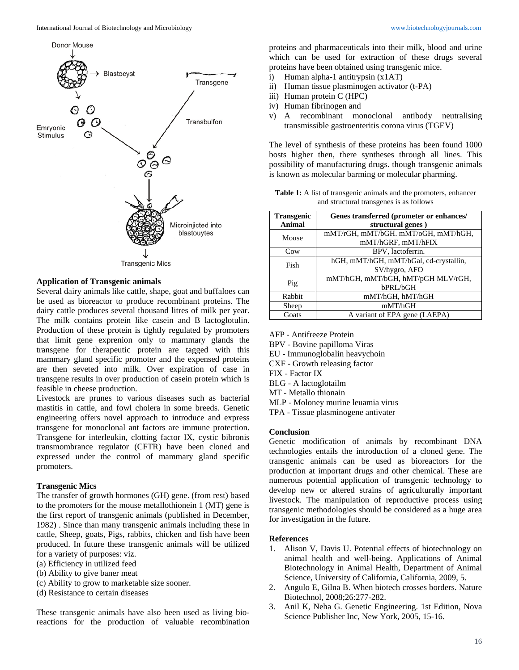

#### **Application of Transgenic animals**

Several dairy animals like cattle, shape, goat and buffaloes can be used as bioreactor to produce recombinant proteins. The dairy cattle produces several thousand litres of milk per year. The milk contains protein like casein and B lactoglotulin. Production of these protein is tightly regulated by promoters that limit gene exprenion only to mammary glands the transgene for therapeutic protein are tagged with this mammary gland specific promoter and the expensed proteins are then seveted into milk. Over expiration of case in transgene results in over production of casein protein which is feasible in cheese production.

Livestock are prunes to various diseases such as bacterial mastitis in cattle, and fowl cholera in some breeds. Genetic engineering offers novel approach to introduce and express transgene for monoclonal ant factors are immune protection. Transgene for interleukin, clotting factor IX, cystic bibronis transmombrance regulator (CFTR) have been cloned and expressed under the control of mammary gland specific promoters.

#### **Transgenic Mics**

The transfer of growth hormones (GH) gene. (from rest) based to the promoters for the mouse metallothionein 1 (MT) gene is the first report of transgenic animals (published in December, 1982) . Since than many transgenic animals including these in cattle, Sheep, goats, Pigs, rabbits, chicken and fish have been produced. In future these transgenic animals will be utilized for a variety of purposes: viz.

- (a) Efficiency in utilized feed
- (b) Ability to give baner meat
- (c) Ability to grow to marketable size sooner.
- (d) Resistance to certain diseases

These transgenic animals have also been used as living bioreactions for the production of valuable recombination proteins and pharmaceuticals into their milk, blood and urine which can be used for extraction of these drugs several proteins have been obtained using transgenic mice.

- i) Human alpha-1 antitrypsin (x1AT)
- ii) Human tissue plasminogen activator (t-PA)
- iii) Human protein C (HPC)
- iv) Human fibrinogen and
- v) A recombinant monoclonal antibody neutralising transmissible gastroenteritis corona virus (TGEV)

The level of synthesis of these proteins has been found 1000 bosts higher then, there syntheses through all lines. This possibility of manufacturing drugs. though transgenic animals is known as molecular barming or molecular pharming.

**Table 1:** A list of transgenic animals and the promoters, enhancer and structural transgenes is as follows

| <b>Transgenic</b><br><b>Animal</b> | Genes transferred (prometer or enhances/<br>structural genes) |
|------------------------------------|---------------------------------------------------------------|
| Mouse                              | mMT/rGH, mMT/bGH. mMT/oGH, mMT/hGH,<br>mMT/hGRF, mMT/hFIX     |
| Cow                                | BPV, lactoferrin.                                             |
| Fish                               | hGH, mMT/hGH, mMT/bGal, cd-crystallin,                        |
|                                    | SV/hygro, AFO                                                 |
| Pig                                | mMT/hGH, mMT/bGH, hMT/pGH MLV/rGH,                            |
|                                    | bPRL/bGH                                                      |
| Rabbit                             | mMT/hGH, hMT/hGH                                              |
| Sheep                              | mMT/hGH                                                       |
| Goats                              | A variant of EPA gene (LAEPA)                                 |

AFP - Antifreeze Protein

BPV - Bovine papilloma Viras

EU - Immunoglobalin heavychoin

CXF - Growth releasing factor

FIX - Factor IX

BLG - A lactoglotailm

MT - Metallo thionain

MLP - Moloney murine leuamia virus

TPA - Tissue plasminogene antivater

#### **Conclusion**

Genetic modification of animals by recombinant DNA technologies entails the introduction of a cloned gene. The transgenic animals can be used as bioreactors for the production at important drugs and other chemical. These are numerous potential application of transgenic technology to develop new or altered strains of agriculturally important livestock. The manipulation of reproductive process using transgenic methodologies should be considered as a huge area for investigation in the future.

#### **References**

- 1. Alison V, Davis U. Potential effects of biotechnology on animal health and well-being. Applications of Animal Biotechnology in Animal Health, Department of Animal Science, University of California, California, 2009, 5.
- 2. Angulo E, Gilna B. When biotech crosses borders. Nature Biotechnol, 2008;26:277-282.
- 3. Anil K, Neha G. Genetic Engineering. 1st Edition, Nova Science Publisher Inc, New York, 2005, 15-16.